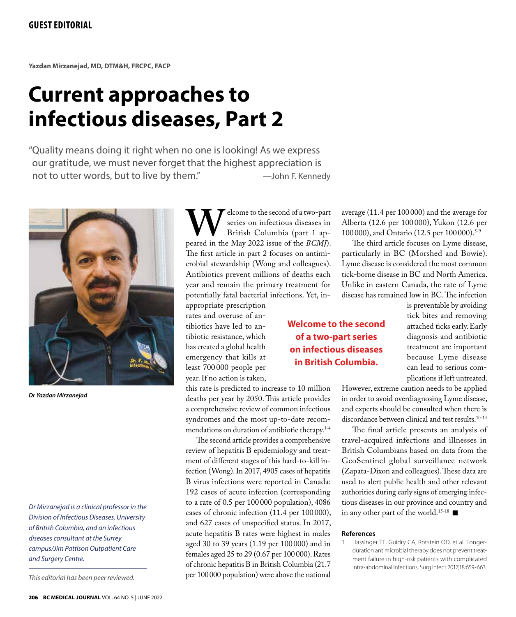**Yazdan Mirzanejad, MD, DTM&H, FRCPC, FACP**

## **Current approaches to infectious diseases, Part 2**

"Quality means doing it right when no one is looking! As we express our gratitude, we must never forget that the highest appreciation is not to utter words, but to live by them." - The Mohn F. Kennedy



*Dr Yazdan Mirzanejad*

*Dr Mirzanejad is a clinical professor in the Division of Infectious Diseases, University of British Columbia, and an infectious diseases consultant at the Surrey campus/Jim Pattison Outpatient Care and Surgery Centre.*

*This editorial has been peer reviewed.*

**W**elcome to the second of a two-part<br>
British Columbia (part 1 appeared in the May 2022 issue of the *BCMJ*). series on infectious diseases in British Columbia (part 1 ap-The first article in part 2 focuses on antimicrobial stewardship (Wong and colleagues). Antibiotics prevent millions of deaths each year and remain the primary treatment for potentially fatal bacterial infections. Yet, inappropriate prescription

rates and overuse of antibiotics have led to antibiotic resistance, which has created a global health emergency that kills at least 700 000 people per year. If no action is taken,

this rate is predicted to increase to 10 million deaths per year by 2050. This article provides a comprehensive review of common infectious syndromes and the most up-to-date recommendations on duration of antibiotic therapy.<sup>1-4</sup>

The second article provides a comprehensive review of hepatitis B epidemiology and treatment of different stages of this hard-to-kill infection (Wong). In 2017, 4905 cases of hepatitis B virus infections were reported in Canada: 192 cases of acute infection (corresponding to a rate of 0.5 per 100 000 population), 4086 cases of chronic infection (11.4 per 100 000), and 627 cases of unspecified status. In 2017, acute hepatitis B rates were highest in males aged 30 to 39 years (1.19 per 100 000) and in females aged 25 to 29 (0.67 per 100000). Rates of chronic hepatitis B in British Columbia (21.7 per 100000 population) were above the national

## **Welcome to the second of a two-part series on infectious diseases in British Columbia.**

average (11.4 per 100 000) and the average for Alberta (12.6 per 100000), Yukon (12.6 per 100000), and Ontario (12.5 per 100000).<sup>5-9</sup>

The third article focuses on Lyme disease, particularly in BC (Morshed and Bowie). Lyme disease is considered the most common tick-borne disease in BC and North America. Unlike in eastern Canada, the rate of Lyme disease has remained low in BC. The infection

is preventable by avoiding tick bites and removing attached ticks early. Early diagnosis and antibiotic treatment are important because Lyme disease can lead to serious complications if left untreated.

However, extreme caution needs to be applied in order to avoid overdiagnosing Lyme disease, and experts should be consulted when there is discordance between clinical and test results.10-14

The final article presents an analysis of travel-acquired infections and illnesses in British Columbians based on data from the GeoSentinel global surveillance network (Zapata-Dixon and colleagues). These data are used to alert public health and other relevant authorities during early signs of emerging infectious diseases in our province and country and in any other part of the world.<sup>15-18</sup>

## **References**

1. Hassinger TE, Guidry CA, Rotstein OD, et al. Longerduration antimicrobial therapy does not prevent treatment failure in high-risk patients with complicated intra-abdominal infections. Surg Infect 2017;18:659-663.